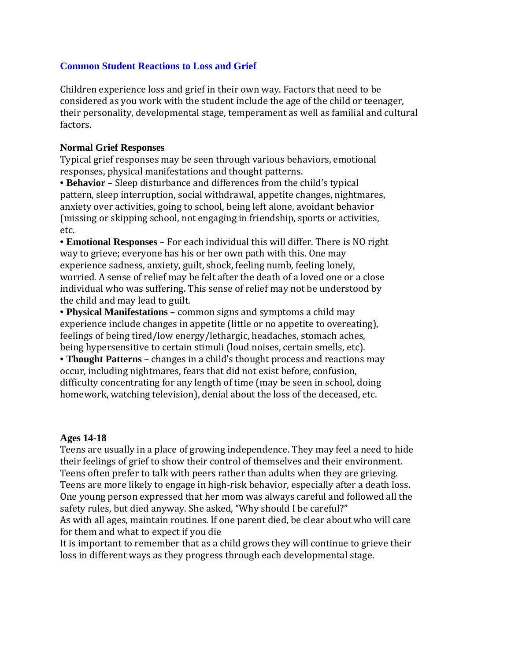# **Common Student Reactions to Loss and Grief**

Children experience loss and grief in their own way. Factors that need to be considered as you work with the student include the age of the child or teenager, their personality, developmental stage, temperament as well as familial and cultural factors. 

#### **Normal Grief Responses**

Typical grief responses may be seen through various behaviors, emotional responses, physical manifestations and thought patterns.

• **Behavior** – Sleep disturbance and differences from the child's typical pattern, sleep interruption, social withdrawal, appetite changes, nightmares, anxiety over activities, going to school, being left alone, avoidant behavior (missing or skipping school, not engaging in friendship, sports or activities, etc. 

• **Emotional Responses** – For each individual this will differ. There is NO right way to grieve; everyone has his or her own path with this. One may experience sadness, anxiety, guilt, shock, feeling numb, feeling lonely, worried. A sense of relief may be felt after the death of a loved one or a close individual who was suffering. This sense of relief may not be understood by the child and may lead to guilt.

• **Physical Manifestations** – common signs and symptoms a child may experience include changes in appetite (little or no appetite to overeating), feelings of being tired/low energy/lethargic, headaches, stomach aches, being hypersensitive to certain stimuli (loud noises, certain smells, etc).

• **Thought Patterns** – changes in a child's thought process and reactions may occur, including nightmares, fears that did not exist before, confusion, difficulty concentrating for any length of time (may be seen in school, doing homework, watching television), denial about the loss of the deceased, etc.

#### **Ages 14-18**

Teens are usually in a place of growing independence. They may feel a need to hide their feelings of grief to show their control of themselves and their environment. Teens often prefer to talk with peers rather than adults when they are grieving. Teens are more likely to engage in high-risk behavior, especially after a death loss. One young person expressed that her mom was always careful and followed all the safety rules, but died anyway. She asked, "Why should I be careful?"

As with all ages, maintain routines. If one parent died, be clear about who will care for them and what to expect if you die

It is important to remember that as a child grows they will continue to grieve their loss in different ways as they progress through each developmental stage.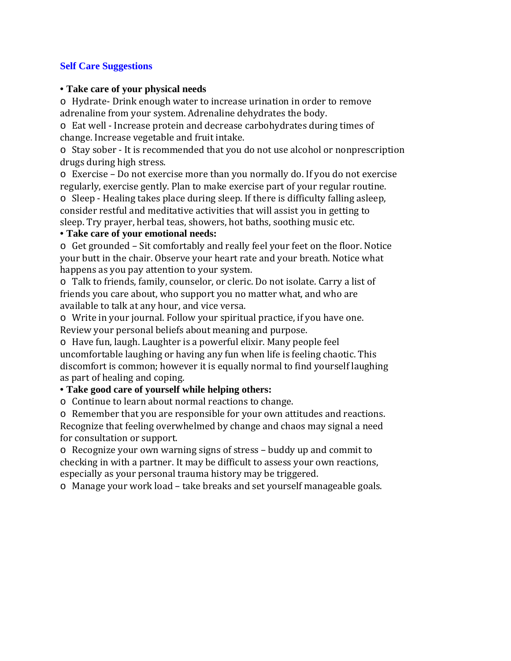### **Self Care Suggestions**

### • **Take care of your physical needs**

○ Hydrate- Drink enough water to increase urination in order to remove adrenaline from your system. Adrenaline dehydrates the body.

 $\circ$  Eat well - Increase protein and decrease carbohydrates during times of change. Increase vegetable and fruit intake.

 $\circ$  Stay sober - It is recommended that you do not use alcohol or nonprescription drugs during high stress.

 $\circ$  Exercise – Do not exercise more than you normally do. If you do not exercise regularly, exercise gently. Plan to make exercise part of your regular routine.

 $\circ$  Sleep - Healing takes place during sleep. If there is difficulty falling asleep, consider restful and meditative activities that will assist you in getting to sleep. Try prayer, herbal teas, showers, hot baths, soothing music etc.

# • **Take care of your emotional needs:**

o Get grounded - Sit comfortably and really feel your feet on the floor. Notice your butt in the chair. Observe your heart rate and your breath. Notice what happens as you pay attention to your system.

 $\circ$  Talk to friends, family, counselor, or cleric. Do not isolate. Carry a list of friends you care about, who support you no matter what, and who are available to talk at any hour, and vice versa.

 $\circ$  Write in your journal. Follow your spiritual practice, if you have one. Review your personal beliefs about meaning and purpose.

 $\circ$  Have fun, laugh. Laughter is a powerful elixir. Many people feel uncomfortable laughing or having any fun when life is feeling chaotic. This discomfort is common; however it is equally normal to find yourself laughing as part of healing and coping.

# • **Take good care of yourself while helping others:**

 $\circ$  Continue to learn about normal reactions to change.

 $\circ$  Remember that you are responsible for your own attitudes and reactions. Recognize that feeling overwhelmed by change and chaos may signal a need for consultation or support.

 $\circ$  Recognize your own warning signs of stress – buddy up and commit to checking in with a partner. It may be difficult to assess your own reactions, especially as your personal trauma history may be triggered.

 $\circ$  Manage your work load – take breaks and set yourself manageable goals.